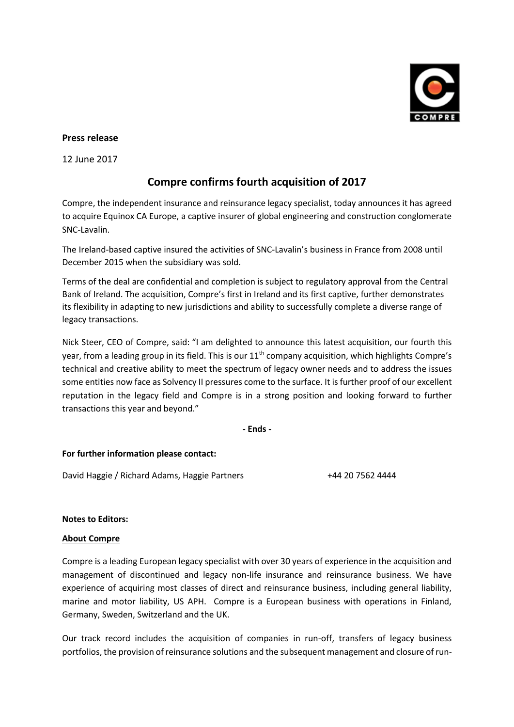

## **Press release**

12 June 2017

# **Compre confirms fourth acquisition of 2017**

Compre, the independent insurance and reinsurance legacy specialist, today announces it has agreed to acquire Equinox CA Europe, a captive insurer of global engineering and construction conglomerate SNC-Lavalin.

The Ireland-based captive insured the activities of SNC-Lavalin's business in France from 2008 until December 2015 when the subsidiary was sold.

Terms of the deal are confidential and completion is subject to regulatory approval from the Central Bank of Ireland. The acquisition, Compre's first in Ireland and its first captive, further demonstrates its flexibility in adapting to new jurisdictions and ability to successfully complete a diverse range of legacy transactions.

Nick Steer, CEO of Compre, said: "I am delighted to announce this latest acquisition, our fourth this year, from a leading group in its field. This is our 11<sup>th</sup> company acquisition, which highlights Compre's technical and creative ability to meet the spectrum of legacy owner needs and to address the issues some entities now face as Solvency II pressures come to the surface. It is further proof of our excellent reputation in the legacy field and Compre is in a strong position and looking forward to further transactions this year and beyond."

**- Ends -**

## **For further information please contact:**

David Haggie / Richard Adams, Haggie Partners +44 20 7562 4444

### **Notes to Editors:**

### **About Compre**

Compre is a leading European legacy specialist with over 30 years of experience in the acquisition and management of discontinued and legacy non-life insurance and reinsurance business. We have experience of acquiring most classes of direct and reinsurance business, including general liability, marine and motor liability, US APH. Compre is a European business with operations in Finland, Germany, Sweden, Switzerland and the UK.

Our track record includes the acquisition of companies in run-off, transfers of legacy business portfolios, the provision of reinsurance solutions and the subsequent management and closure of run